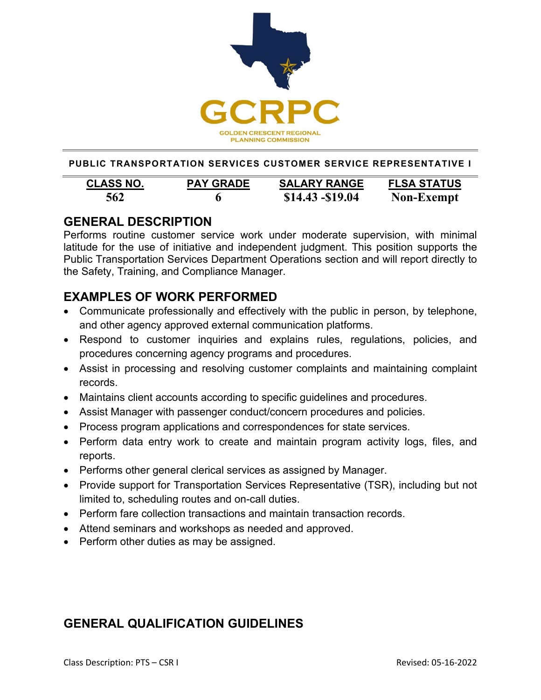

**PUBLIC TRANSPORTATION SERVICES CUSTOMER SERVICE REPRESENTATIVE I**

| <b>CLASS NO.</b> | <b>PAY GRADE</b> | <b>SALARY RANGE</b> | <b>FLSA STATUS</b> |
|------------------|------------------|---------------------|--------------------|
| 562              | 6                | $$14.43 - $19.04$   | <b>Non-Exempt</b>  |

### **GENERAL DESCRIPTION**

Performs routine customer service work under moderate supervision, with minimal latitude for the use of initiative and independent judgment. This position supports the Public Transportation Services Department Operations section and will report directly to the Safety, Training, and Compliance Manager.

## **EXAMPLES OF WORK PERFORMED**

- Communicate professionally and effectively with the public in person, by telephone, and other agency approved external communication platforms.
- Respond to customer inquiries and explains rules, regulations, policies, and procedures concerning agency programs and procedures.
- Assist in processing and resolving customer complaints and maintaining complaint records.
- Maintains client accounts according to specific guidelines and procedures.
- Assist Manager with passenger conduct/concern procedures and policies.
- Process program applications and correspondences for state services.
- Perform data entry work to create and maintain program activity logs, files, and reports.
- Performs other general clerical services as assigned by Manager.
- Provide support for Transportation Services Representative (TSR), including but not limited to, scheduling routes and on-call duties.
- Perform fare collection transactions and maintain transaction records.
- Attend seminars and workshops as needed and approved.
- Perform other duties as may be assigned.

# **GENERAL QUALIFICATION GUIDELINES**